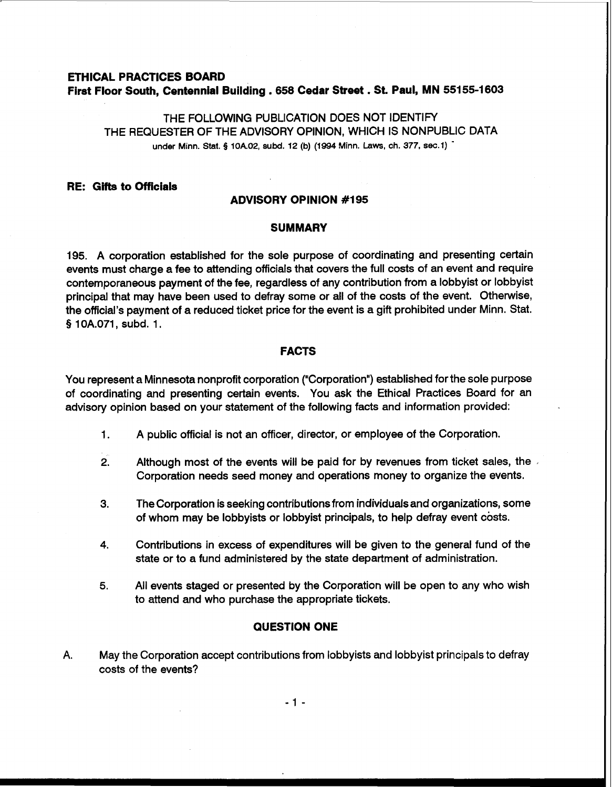# **ETHICAL PRACTICES BOARD First Floor South, Centennial Building** . **658 Cedar Street** . **St. Paul, MN 551 55-1 603**

THE FOLLOWING PUBLICATION DOES NOT IDENTIFY THE REQUESTER OF THE ADVISORY OPINION, WHICH IS NONPUBLIC DATA **under Minn.** Stat. § **lOA.02, subd. 12 (b) (1994 Minn. Laws, ch. 377, sec.1)** -

## **RE: Gifts to Officials**

## **ADVISORY OPINION #I95**

#### **SUMMARY**

195. A corporation established for the sole purpose of coordinating and presenting certain events must charge a fee to attending officials that covers the full costs of an event and require contemporaneous payment of the fee, regardless of any contribution from a lobbyist or lobbyist principal that may have been used to defray some or all of the costs of the event. Otherwise, the official's payment of a reduced ticket price for the event is a gift prohibited under Minn. Stat. § 10A.071, subd. 1.

# **FACTS**

You represent a Minnesota nonprofit corporation ("Corporation") established for the sole purpose of coordinating and presenting certain events. You ask the Ethical Practices Board for an advisory opinion based on your statement of the following facts and information provided:

- 1. A public official is not an officer, director, or employee of the Corporation.
- **2.** Although most of the events will be paid for by revenues from ticket sales, the , Corporation needs seed money and operations money to organize the events.
- **3.** The Corporation is seeking contributions from individuals and organizations, some of whom may be lobbyists or lobbyist principals, to help defray event costs.
- **4.** Contributions in excess of expenditures will be given to the general fund of the state or to a fund administered by the state department of administration.
- **5.** All events staged or presented by the Corporation will be open to any who wish to attend and who purchase the appropriate tickets.

# **QUESTION ONE**

**A.** May the Corporation accept contributions from lobbyists and lobbyist principals to defray costs of the events?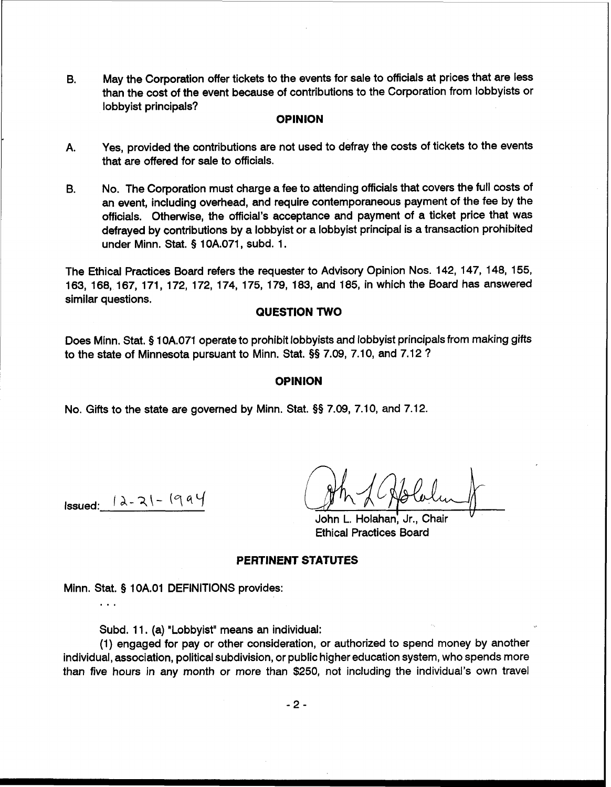6. May the Corporation offer tickets to the events for sale to officials at prices that are less than the cost of the event because of contributions to the Corporation from lobbyists or lobbyist principals?

## **OPINION**

- A. Yes, provided the contributions are not used to defray the costs of tickets to the events that are offered for sale to officials.
- **B.** No. The Corporation must charge a fee to attending officials that covers the full costs of an event, including overhead, and require contemporaneous payment of the fee by the officials. Otherwise, the official's acceptance and payment of a ticket price that was defrayed by contributions by a lobbyist or a lobbyist principal is a transaction prohibited under Minn. Stat. § 10A.071, subd. 1.

The Ethical Practices Board refers the requester to Advisory Opinion Nos. 142, 147, 148, 155, 163, 168, 167, 171, 172, 172, 174, 175, 179, 183, and 185, in which the Board has answered similar questions.

## **QUESTION TWO**

Does Minn. Stat. \$ 10A.071 operate to prohibit lobbyists and lobbyist principals from making gifts to the state of Minnesota pursuant to Minn. Stat. **\$9** 7.09, 7.10, and 7.12 ?

#### **OPINION**

No. Gifts to the state are governed by Minn. Stat. **\$5** 7.09, 7.10, and 7.12.

Issued:  $| \lambda - 2| - (9a)$ 

. . .

John L. Holahan, Jr., Chair Ethical Practices Board

#### **PERTINENT STATUTES**

Minn. Stat. \$ 1 OA.01 DEFINITIONS provides:

Subd. 11. (a) "Lobbyist" means an individual:

(1) engaged for pay or other consideration, or authorized to spend money by another individual, association, political subdivision, or public higher education system, who spends more than five hours in any month or more than \$250, not including the individual's own travel